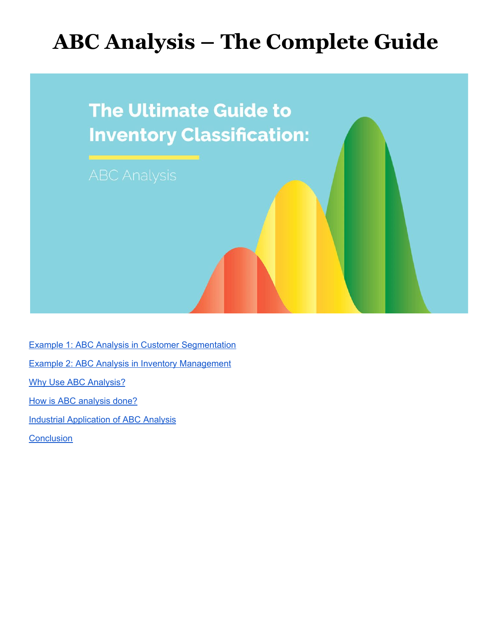# **ABC Analysis – The Complete Guide**



Example 1: ABC Analysis in Customer [Segmentation](#page-2-0) Example 2: ABC Analysis in Inventory [Management](#page-4-0) Why Use ABC [Analysis?](#page-5-0) How is ABC [analysis](#page-6-0) done? **Industrial [Application](#page-7-0) of ABC Analysis [Conclusion](#page-7-1)**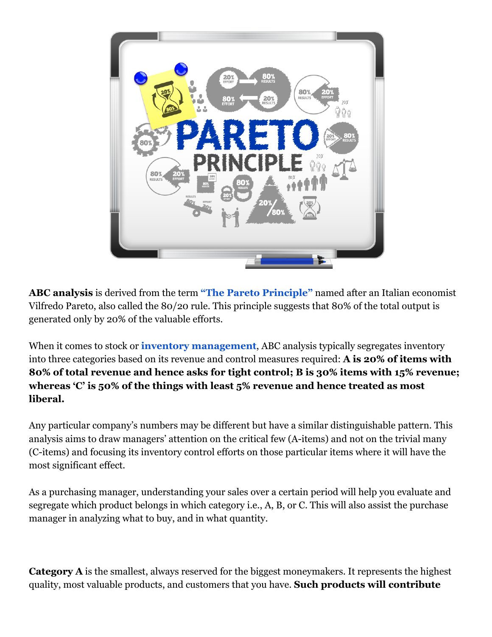

**ABC analysis** is derived from the term **["The Pareto Principle"](https://en.wikipedia.org/wiki/Pareto_principle)** named after an Italian economist Vilfredo Pareto, also called the 80/20 rule. This principle suggests that 80% of the total output is generated only by 20% of the valuable efforts.

When it comes to stock or **[inventory management](https://www.orderhive.com/inventory-management.html?utm_source=Stephen_knowledge_center&utm_medium=ABC%20Analysis)**, ABC analysis typically segregates inventory into three categories based on its revenue and control measures required: **A is 20% of items with 80% of total revenue and hence asks for tight control; B is 30% items with 15% revenue; whereas 'C' is 50% of the things with least 5% revenue and hence treated as most liberal.**

Any particular company's numbers may be different but have a similar distinguishable pattern. This analysis aims to draw managers' attention on the critical few (A-items) and not on the trivial many (C-items) and focusing its inventory control efforts on those particular items where it will have the most significant effect.

As a purchasing manager, understanding your sales over a certain period will help you evaluate and segregate which product belongs in which category i.e., A, B, or C. This will also assist the purchase manager in analyzing what to buy, and in what quantity.

**Category A** is the smallest, always reserved for the biggest moneymakers. It represents the highest quality, most valuable products, and customers that you have. **Such products will contribute**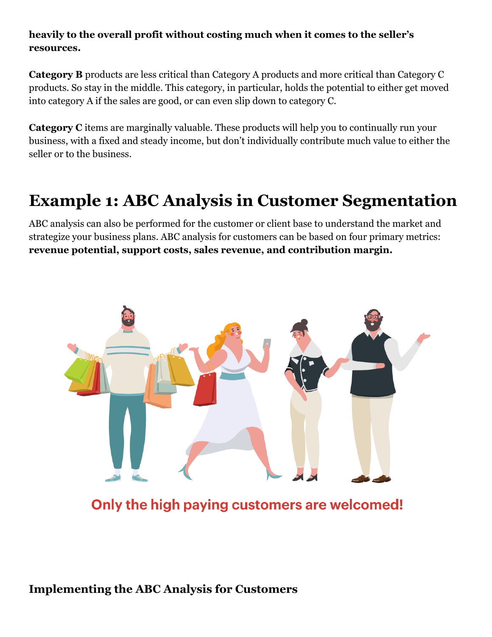#### **heavily to the overall profit without costing much when it comes to the seller's resources.**

**Category B** products are less critical than Category A products and more critical than Category C products. So stay in the middle. This category, in particular, holds the potential to either get moved into category A if the sales are good, or can even slip down to category C.

**Category C** items are marginally valuable. These products will help you to continually run your business, with a fixed and steady income, but don't individually contribute much value to either the seller or to the business.

# <span id="page-2-0"></span>**Example 1: ABC Analysis in Customer Segmentation**

ABC analysis can also be performed for the customer or client base to understand the market and strategize your business plans. ABC analysis for customers can be based on four primary metrics: **revenue potential, support costs, sales revenue, and contribution margin.**



Only the high paying customers are welcomed!

#### **Implementing the ABC Analysis for Customers**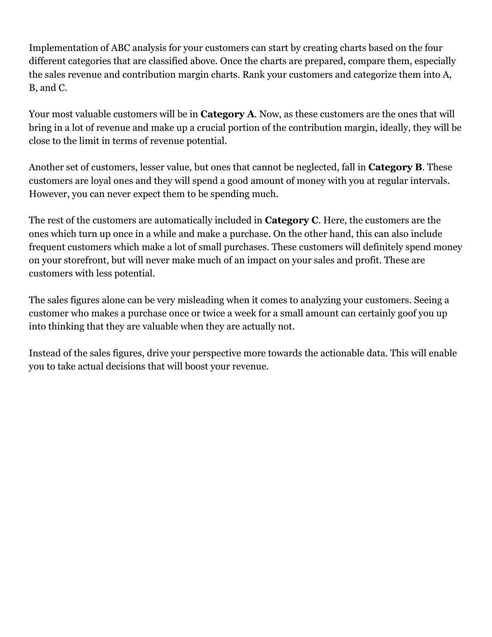Implementation of ABC analysis for your customers can start by creating charts based on the four different categories that are classified above. Once the charts are prepared, compare them, especially the sales revenue and contribution margin charts. Rank your customers and categorize them into A, B, and C.

Your most valuable customers will be in **Category A**. Now, as these customers are the ones that will bring in a lot of revenue and make up a crucial portion of the contribution margin, ideally, they will be close to the limit in terms of revenue potential.

Another set of customers, lesser value, but ones that cannot be neglected, fall in **Category B**. These customers are loyal ones and they will spend a good amount of money with you at regular intervals. However, you can never expect them to be spending much.

The rest of the customers are automatically included in **Category C**. Here, the customers are the ones which turn up once in a while and make a purchase. On the other hand, this can also include frequent customers which make a lot of small purchases. These customers will definitely spend money on your storefront, but will never make much of an impact on your sales and profit. These are customers with less potential.

The sales figures alone can be very misleading when it comes to analyzing your customers. Seeing a customer who makes a purchase once or twice a week for a small amount can certainly goof you up into thinking that they are valuable when they are actually not.

Instead of the sales figures, drive your perspective more towards the actionable data. This will enable you to take actual decisions that will boost your revenue.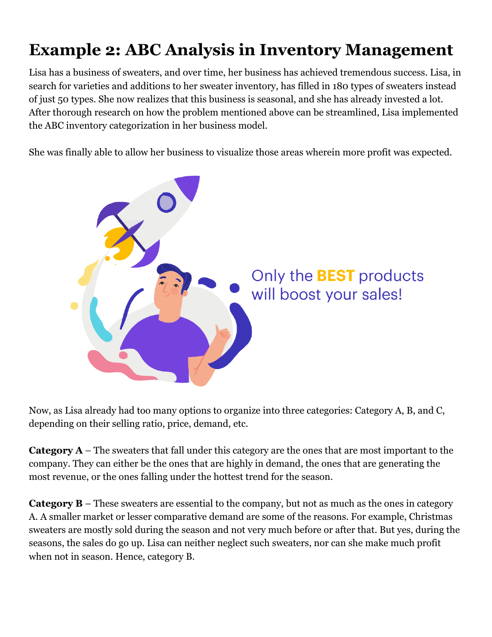# <span id="page-4-0"></span>**Example 2: ABC Analysis in Inventory Management**

Lisa has a business of sweaters, and over time, her business has achieved tremendous success. Lisa, in search for varieties and additions to her sweater inventory, has filled in 180 types of sweaters instead of just 50 types. She now realizes that this business is seasonal, and she has already invested a lot. After thorough research on how the problem mentioned above can be streamlined, Lisa implemented the ABC inventory categorization in her business model.

She was finally able to allow her business to visualize those areas wherein more profit was expected.



Now, as Lisa already had too many options to organize into three categories: Category A, B, and C, depending on their selling ratio, price, demand, etc.

**Category A** – The sweaters that fall under this category are the ones that are most important to the company. They can either be the ones that are highly in demand, the ones that are generating the most revenue, or the ones falling under the hottest trend for the season.

**Category B** – These sweaters are essential to the company, but not as much as the ones in category A. A smaller market or lesser comparative demand are some of the reasons. For example, Christmas sweaters are mostly sold during the season and not very much before or after that. But yes, during the seasons, the sales do go up. Lisa can neither neglect such sweaters, nor can she make much profit when not in season. Hence, category B.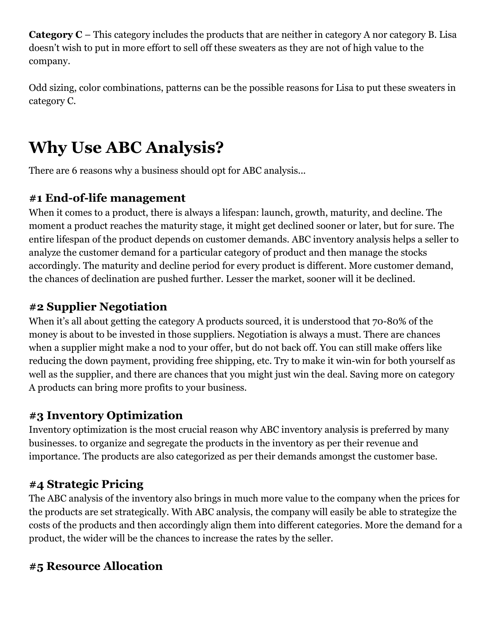**Category C** – This category includes the products that are neither in category A nor category B. Lisa doesn't wish to put in more effort to sell off these sweaters as they are not of high value to the company.

Odd sizing, color combinations, patterns can be the possible reasons for Lisa to put these sweaters in category C.

# <span id="page-5-0"></span>**Why Use ABC Analysis?**

There are 6 reasons why a business should opt for ABC analysis...

# **#1 End-of-life management**

When it comes to a product, there is always a lifespan: launch, growth, maturity, and decline. The moment a product reaches the maturity stage, it might get declined sooner or later, but for sure. The entire lifespan of the product depends on customer demands. ABC inventory analysis helps a seller to analyze the customer demand for a particular category of product and then manage the stocks accordingly. The maturity and decline period for every product is different. More customer demand, the chances of declination are pushed further. Lesser the market, sooner will it be declined.

# **#2 Supplier Negotiation**

When it's all about getting the category A products sourced, it is understood that 70-80% of the money is about to be invested in those suppliers. Negotiation is always a must. There are chances when a supplier might make a nod to your offer, but do not back off. You can still make offers like reducing the down payment, providing free shipping, etc. Try to make it win-win for both yourself as well as the supplier, and there are chances that you might just win the deal. Saving more on category A products can bring more profits to your business.

## **#3 Inventory Optimization**

Inventory optimization is the most crucial reason why ABC inventory analysis is preferred by many businesses. to organize and segregate the products in the inventory as per their revenue and importance. The products are also categorized as per their demands amongst the customer base.

## **#4 Strategic Pricing**

The ABC analysis of the inventory also brings in much more value to the company when the prices for the products are set strategically. With ABC analysis, the company will easily be able to strategize the costs of the products and then accordingly align them into different categories. More the demand for a product, the wider will be the chances to increase the rates by the seller.

## **#5 Resource Allocation**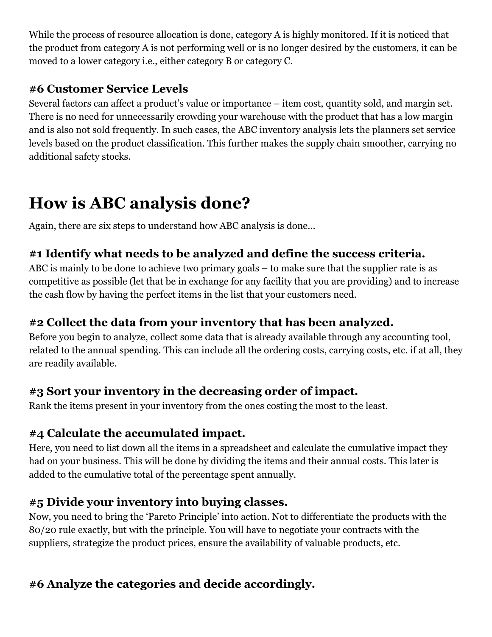While the process of resource allocation is done, category A is highly monitored. If it is noticed that the product from category A is not performing well or is no longer desired by the customers, it can be moved to a lower category i.e., either category B or category C.

#### **#6 Customer Service Levels**

Several factors can affect a product's value or importance – item cost, quantity sold, and margin set. There is no need for unnecessarily crowding your warehouse with the product that has a low margin and is also not sold frequently. In such cases, the ABC inventory analysis lets the planners set service levels based on the product classification. This further makes the supply chain smoother, carrying no additional safety stocks.

# <span id="page-6-0"></span>**How is ABC analysis done?**

Again, there are six steps to understand how ABC analysis is done…

### **#1 Identify what needs to be analyzed and define the success criteria.**

ABC is mainly to be done to achieve two primary goals – to make sure that the supplier rate is as competitive as possible (let that be in exchange for any facility that you are providing) and to increase the cash flow by having the perfect items in the list that your customers need.

### **#2 Collect the data from your inventory that has been analyzed.**

Before you begin to analyze, collect some data that is already available through any accounting tool, related to the annual spending. This can include all the ordering costs, carrying costs, etc. if at all, they are readily available.

#### **#3 Sort your inventory in the decreasing order of impact.**

Rank the items present in your inventory from the ones costing the most to the least.

#### **#4 Calculate the accumulated impact.**

Here, you need to list down all the items in a spreadsheet and calculate the cumulative impact they had on your business. This will be done by dividing the items and their annual costs. This later is added to the cumulative total of the percentage spent annually.

## **#5 Divide your inventory into buying classes.**

Now, you need to bring the 'Pareto Principle' into action. Not to differentiate the products with the 80/20 rule exactly, but with the principle. You will have to negotiate your contracts with the suppliers, strategize the product prices, ensure the availability of valuable products, etc.

## **#6 Analyze the categories and decide accordingly.**